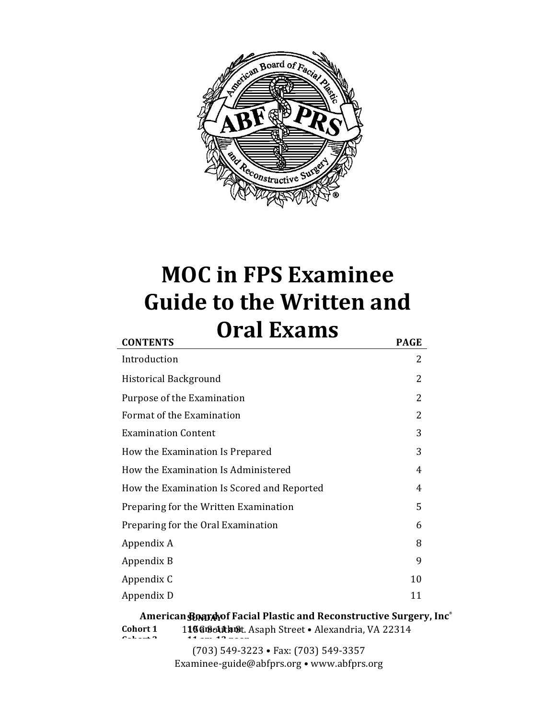

# **MOC** in FPS Examinee **Guide to the Written and Oral Exams** CONTENTS **PAGE**

| Introduction                               | 2  |  |  |  |  |  |
|--------------------------------------------|----|--|--|--|--|--|
| <b>Historical Background</b>               |    |  |  |  |  |  |
| Purpose of the Examination                 |    |  |  |  |  |  |
| Format of the Examination                  |    |  |  |  |  |  |
| <b>Examination Content</b>                 | 3  |  |  |  |  |  |
| How the Examination Is Prepared            |    |  |  |  |  |  |
| How the Examination Is Administered        | 4  |  |  |  |  |  |
| How the Examination Is Scored and Reported | 4  |  |  |  |  |  |
| Preparing for the Written Examination      | 5  |  |  |  |  |  |
| Preparing for the Oral Examination         | 6  |  |  |  |  |  |
| Appendix A                                 | 8  |  |  |  |  |  |
| Appendix B                                 | 9  |  |  |  |  |  |
| Appendix C                                 | 10 |  |  |  |  |  |
| Appendix D                                 | 11 |  |  |  |  |  |

 $\boldsymbol{\Lambda}$ merican $\boldsymbol{\mathfrak{B}}$ **@gy** $\boldsymbol{\Lambda}$ yof Facial Plastic and Reconstructive Surgery, Inc $^\circ$ Cohort 1 1980901 the Street . Alexandria, VA 22314 **Cohome 0 11 11 11 11 11** 

**(703) 549-3223** • Fax: (703) **549-3357** Examinee-guide@abfprs.org • www.abfprs.org **Community**  $\theta$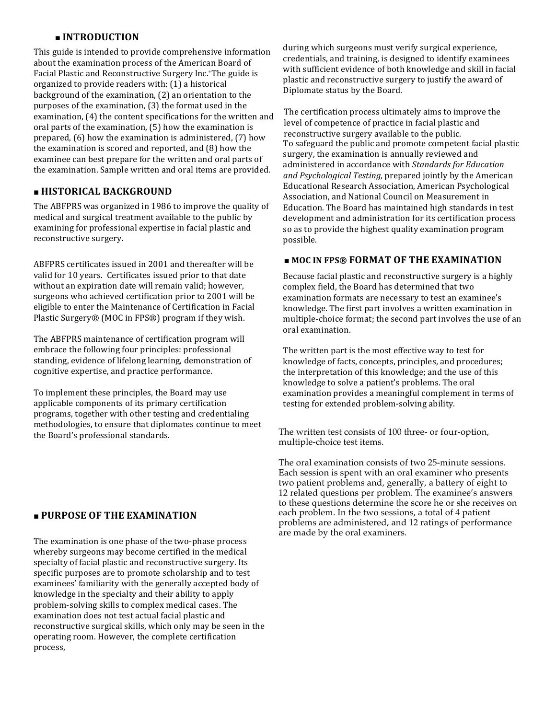# ■ **INTRODUCTION**

This guide is intended to provide comprehensive information about the examination process of the American Board of Facial Plastic and Reconstructive Surgery lnc. \*The guide is organized to provide readers with: (1) a historical background of the examination,  $(2)$  an orientation to the purposes of the examination,  $(3)$  the format used in the examination, (4) the content specifications for the written and oral parts of the examination,  $(5)$  how the examination is prepared,  $(6)$  how the examination is administered,  $(7)$  how the examination is scored and reported, and  $(8)$  how the examinee can best prepare for the written and oral parts of the examination. Sample written and oral items are provided.

# ■ **HISTORICAL BACKGROUND**

The ABFPRS was organized in 1986 to improve the quality of medical and surgical treatment available to the public by examining for professional expertise in facial plastic and reconstructive surgery.

ABFPRS certificates issued in 2001 and thereafter will be valid for 10 years. Certificates issued prior to that date without an expiration date will remain valid; however, surgeons who achieved certification prior to 2001 will be eligible to enter the Maintenance of Certification in Facial Plastic Surgery® (MOC in FPS®) program if they wish.

The ABFPRS maintenance of certification program will embrace the following four principles: professional standing, evidence of lifelong learning, demonstration of cognitive expertise, and practice performance.

To implement these principles, the Board may use applicable components of its primary certification programs, together with other testing and credentialing methodologies, to ensure that diplomates continue to meet the Board's professional standards.

### $\blacksquare$  **PURPOSE OF THE EXAMINATION**

The examination is one phase of the two-phase process whereby surgeons may become certified in the medical specialty of facial plastic and reconstructive surgery. Its specific purposes are to promote scholarship and to test examinees' familiarity with the generally accepted body of knowledge in the specialty and their ability to apply problem-solving skills to complex medical cases. The examination does not test actual facial plastic and reconstructive surgical skills, which only may be seen in the operating room. However, the complete certification process, 

during which surgeons must verify surgical experience, credentials, and training, is designed to identify examinees with sufficient evidence of both knowledge and skill in facial plastic and reconstructive surgery to justify the award of Diplomate status by the Board.

The certification process ultimately aims to improve the level of competence of practice in facial plastic and reconstructive surgery available to the public. To safeguard the public and promote competent facial plastic surgery, the examination is annually reviewed and administered in accordance with *Standards for Education* and Psychological Testing, prepared jointly by the American Educational Research Association, American Psychological Association, and National Council on Measurement in Education. The Board has maintained high standards in test development and administration for its certification process so as to provide the highest quality examination program possible. 

# $\blacksquare$  **MOC IN FPS® FORMAT OF THE EXAMINATION**

Because facial plastic and reconstructive surgery is a highly complex field, the Board has determined that two examination formats are necessary to test an examinee's knowledge. The first part involves a written examination in multiple-choice format; the second part involves the use of an oral examination.

The written part is the most effective way to test for knowledge of facts, concepts, principles, and procedures; the interpretation of this knowledge; and the use of this knowledge to solve a patient's problems. The oral examination provides a meaningful complement in terms of testing for extended problem-solving ability.

The written test consists of 100 three- or four-option, multiple-choice test items.

The oral examination consists of two 25-minute sessions. Each session is spent with an oral examiner who presents two patient problems and, generally, a battery of eight to 12 related questions per problem. The examinee's answers to these questions determine the score he or she receives on each problem. In the two sessions, a total of 4 patient problems are administered, and 12 ratings of performance are made by the oral examiners.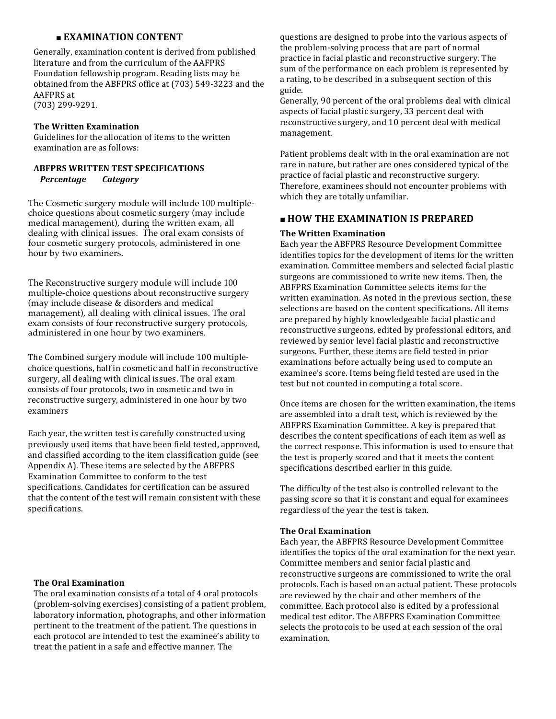# **EXAMINATION CONTENT**

Generally, examination content is derived from published literature and from the curriculum of the AAFPRS Foundation fellowship program. Reading lists may be obtained from the ABFPRS office at (703) 549-3223 and the AAFPRS at (703) 299-9291. 

# **The Written Examination**

Guidelines for the allocation of items to the written examination are as follows:

# **ABFPRS WRITTEN TEST SPECIFICATIONS Percentage Category**

The Cosmetic surgery module will include 100 multiplechoice questions about cosmetic surgery (may include medical management), during the written exam, all dealing with clinical issues. The oral exam consists of four cosmetic surgery protocols, administered in one hour by two examiners.

The Reconstructive surgery module will include 100 multiple-choice questions about reconstructive surgery (may include disease & disorders and medical management), all dealing with clinical issues. The oral exam consists of four reconstructive surgery protocols, administered in one hour by two examiners.

The Combined surgery module will include 100 multiplechoice questions, half in cosmetic and half in reconstructive surgery, all dealing with clinical issues. The oral exam consists of four protocols, two in cosmetic and two in reconstructive surgery, administered in one hour by two examiners

Each year, the written test is carefully constructed using previously used items that have been field tested, approved, and classified according to the item classification guide (see Appendix A). These items are selected by the ABFPRS Examination Committee to conform to the test specifications. Candidates for certification can be assured that the content of the test will remain consistent with these specifications. 

# **The Oral Examination**

The oral examination consists of a total of 4 oral protocols (problem-solving exercises) consisting of a patient problem, laboratory information, photographs, and other information pertinent to the treatment of the patient. The questions in each protocol are intended to test the examinee's ability to treat the patient in a safe and effective manner. The

questions are designed to probe into the various aspects of the problem-solving process that are part of normal practice in facial plastic and reconstructive surgery. The sum of the performance on each problem is represented by a rating, to be described in a subsequent section of this guide. 

Generally, 90 percent of the oral problems deal with clinical aspects of facial plastic surgery, 33 percent deal with reconstructive surgery, and 10 percent deal with medical management. 

Patient problems dealt with in the oral examination are not rare in nature, but rather are ones considered typical of the practice of facial plastic and reconstructive surgery. Therefore, examinees should not encounter problems with which they are totally unfamiliar.

# **■ HOW THE EXAMINATION IS PREPARED**

#### **The Written Examination**

Each year the ABFPRS Resource Development Committee identifies topics for the development of items for the written examination. Committee members and selected facial plastic surgeons are commissioned to write new items. Then, the ABFPRS Examination Committee selects items for the written examination. As noted in the previous section, these selections are based on the content specifications. All items are prepared by highly knowledgeable facial plastic and reconstructive surgeons, edited by professional editors, and reviewed by senior level facial plastic and reconstructive surgeons. Further, these items are field tested in prior examinations before actually being used to compute an examinee's score. Items being field tested are used in the test but not counted in computing a total score.

Once items are chosen for the written examination, the items are assembled into a draft test, which is reviewed by the ABFPRS Examination Committee. A key is prepared that describes the content specifications of each item as well as the correct response. This information is used to ensure that the test is properly scored and that it meets the content specifications described earlier in this guide.

The difficulty of the test also is controlled relevant to the passing score so that it is constant and equal for examinees regardless of the year the test is taken.

### **The Oral Examination**

Each year, the ABFPRS Resource Development Committee identifies the topics of the oral examination for the next year. Committee members and senior facial plastic and reconstructive surgeons are commissioned to write the oral protocols. Each is based on an actual patient. These protocols are reviewed by the chair and other members of the committee. Each protocol also is edited by a professional medical test editor. The ABFPRS Examination Committee selects the protocols to be used at each session of the oral examination.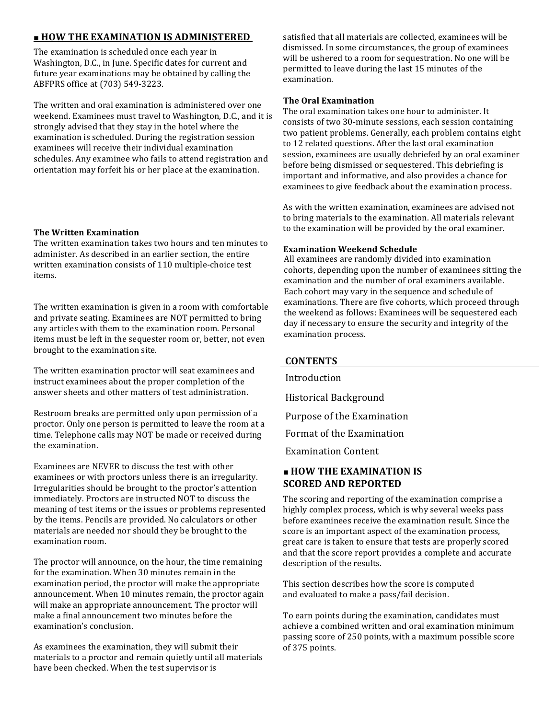# ■ **HOW THE EXAMINATION IS ADMINISTERED**

The examination is scheduled once each year in Washington, D.C., in June. Specific dates for current and future year examinations may be obtained by calling the ABFPRS office at (703) 549-3223.

The written and oral examination is administered over one weekend. Examinees must travel to Washington, D.C., and it is strongly advised that they stay in the hotel where the examination is scheduled. During the registration session examinees will receive their individual examination schedules. Any examinee who fails to attend registration and orientation may forfeit his or her place at the examination.

# **The Written Examination**

The written examination takes two hours and ten minutes to administer. As described in an earlier section, the entire written examination consists of 110 multiple-choice test items. 

The written examination is given in a room with comfortable and private seating. Examinees are NOT permitted to bring any articles with them to the examination room. Personal items must be left in the sequester room or, better, not even brought to the examination site.

The written examination proctor will seat examinees and instruct examinees about the proper completion of the answer sheets and other matters of test administration.

Restroom breaks are permitted only upon permission of a proctor. Only one person is permitted to leave the room at a time. Telephone calls may NOT be made or received during the examination.

Examinees are NEVER to discuss the test with other examinees or with proctors unless there is an irregularity. Irregularities should be brought to the proctor's attention immediately. Proctors are instructed NOT to discuss the meaning of test items or the issues or problems represented by the items. Pencils are provided. No calculators or other materials are needed nor should they be brought to the examination room.

The proctor will announce, on the hour, the time remaining for the examination. When 30 minutes remain in the examination period, the proctor will make the appropriate announcement. When 10 minutes remain, the proctor again will make an appropriate announcement. The proctor will make a final announcement two minutes before the examination's conclusion.

As examinees the examination, they will submit their materials to a proctor and remain quietly until all materials have been checked. When the test supervisor is

satisfied that all materials are collected, examinees will be dismissed. In some circumstances, the group of examinees will be ushered to a room for sequestration. No one will be permitted to leave during the last 15 minutes of the examination. 

# **The Oral Examination**

The oral examination takes one hour to administer. It consists of two 30-minute sessions, each session containing two patient problems. Generally, each problem contains eight to 12 related questions. After the last oral examination session, examinees are usually debriefed by an oral examiner before being dismissed or sequestered. This debriefing is important and informative, and also provides a chance for examinees to give feedback about the examination process.

As with the written examination, examinees are advised not to bring materials to the examination. All materials relevant to the examination will be provided by the oral examiner.

# **Examination Weekend Schedule**

All examinees are randomly divided into examination cohorts, depending upon the number of examinees sitting the examination and the number of oral examiners available. Each cohort may vary in the sequence and schedule of examinations. There are five cohorts, which proceed through the weekend as follows: Examinees will be sequestered each day if necessary to ensure the security and integrity of the examination process.

### **CONTENTS**

**Introduction** 

Historical Background

Purpose of the Examination

Format of the Examination

**Examination Content** 

# **How the Braenia Mind's Porpased SCORED AND REPORTED**<br>How the Examination Is Administered

The scoring and reporting of the examination comprise a Highly the Example Light Scored and Reported Complete before examinees receive the examination result. Since the usigne examples receive the examination result since the<br>Preparing for the Written Examination<br>score is an important aspect of the examination process,  $\mathbf P$ rebeninjs fakethto<code>Gnal</code>lExthatilvatione properly scored and that the score report provides a complete and accurate  $\alpha$ description  $\alpha$  and  $\alpha$  are the results.

Appendix  $\rm B$  escribes how the score is computed  $\rm A$ and evaluated to make a pass/fail decision.<br>Appendix

**Appendixns** during the examination, candidates must achieve a combined written and oral examination minimum passing score of 250 bb AYs, with a maximum possible score

| dforforpdints. | $10$ am- $11$ am            |
|----------------|-----------------------------|
| Cohort 2       | 11 am-12 noon               |
| Cohort 3       | $1$ pm $-2$ pm              |
| Cohort 4       | $2 \text{ pm-}3 \text{ pm}$ |
| Cohort 5       | 3 pm-4 pm                   |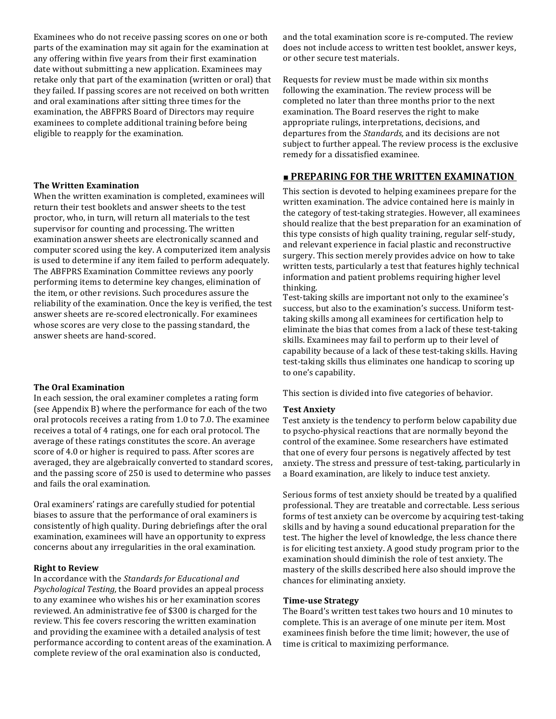Examinees who do not receive passing scores on one or both parts of the examination may sit again for the examination at any offering within five years from their first examination date without submitting a new application. Examinees may retake only that part of the examination (written or oral) that they failed. If passing scores are not received on both written and oral examinations after sitting three times for the examination, the ABFPRS Board of Directors may require examinees to complete additional training before being eligible to reapply for the examination.

#### **The Written Examination**

When the written examination is completed, examinees will return their test booklets and answer sheets to the test proctor, who, in turn, will return all materials to the test supervisor for counting and processing. The written examination answer sheets are electronically scanned and computer scored using the key. A computerized item analysis is used to determine if any item failed to perform adequately. The ABFPRS Examination Committee reviews any poorly performing items to determine key changes, elimination of the item, or other revisions. Such procedures assure the reliability of the examination. Once the key is verified, the test answer sheets are re-scored electronically. For examinees whose scores are very close to the passing standard, the answer sheets are hand-scored.

#### **The Oral Examination**

In each session, the oral examiner completes a rating form (see Appendix B) where the performance for each of the two oral protocols receives a rating from 1.0 to 7.0. The examinee receives a total of 4 ratings, one for each oral protocol. The average of these ratings constitutes the score. An average score of 4.0 or higher is required to pass. After scores are averaged, they are algebraically converted to standard scores, and the passing score of 250 is used to determine who passes and fails the oral examination.

Oral examiners' ratings are carefully studied for potential biases to assure that the performance of oral examiners is consistently of high quality. During debriefings after the oral examination, examinees will have an opportunity to express concerns about any irregularities in the oral examination.

#### **Right to Review**

In accordance with the *Standards for Educational and Psychological Testing,* the Board provides an appeal process to any examinee who wishes his or her examination scores reviewed. An administrative fee of \$300 is charged for the review. This fee covers rescoring the written examination and providing the examinee with a detailed analysis of test performance according to content areas of the examination. A complete review of the oral examination also is conducted,

and the total examination score is re-computed. The review does not include access to written test booklet, answer keys, or other secure test materials.

Requests for review must be made within six months following the examination. The review process will be completed no later than three months prior to the next examination. The Board reserves the right to make appropriate rulings, interpretations, decisions, and departures from the *Standards*, and its decisions are not subject to further appeal. The review process is the exclusive remedy for a dissatisfied examinee.

#### **<u>■ PREPARING FOR THE WRITTEN EXAMINATION</u>**

This section is devoted to helping examinees prepare for the written examination. The advice contained here is mainly in the category of test-taking strategies. However, all examinees should realize that the best preparation for an examination of this type consists of high quality training, regular self-study, and relevant experience in facial plastic and reconstructive surgery. This section merely provides advice on how to take written tests, particularly a test that features highly technical information and patient problems requiring higher level thinking. 

Test-taking skills are important not only to the examinee's success, but also to the examination's success. Uniform testtaking skills among all examinees for certification help to eliminate the bias that comes from a lack of these test-taking skills. Examinees may fail to perform up to their level of capability because of a lack of these test-taking skills. Having test-taking skills thus eliminates one handicap to scoring up to one's capability.

This section is divided into five categories of behavior.

#### **Test Anxiety**

Test anxiety is the tendency to perform below capability due to psycho-physical reactions that are normally beyond the control of the examinee. Some researchers have estimated that one of every four persons is negatively affected by test anxiety. The stress and pressure of test-taking, particularly in a Board examination, are likely to induce test anxiety.

Serious forms of test anxiety should be treated by a qualified professional. They are treatable and correctable. Less serious forms of test anxiety can be overcome by acquiring test-taking skills and by having a sound educational preparation for the test. The higher the level of knowledge, the less chance there is for eliciting test anxiety. A good study program prior to the examination should diminish the role of test anxiety. The mastery of the skills described here also should improve the chances for eliminating anxiety.

#### **Time-use Strategy**

The Board's written test takes two hours and 10 minutes to complete. This is an average of one minute per item. Most examinees finish before the time limit; however, the use of time is critical to maximizing performance.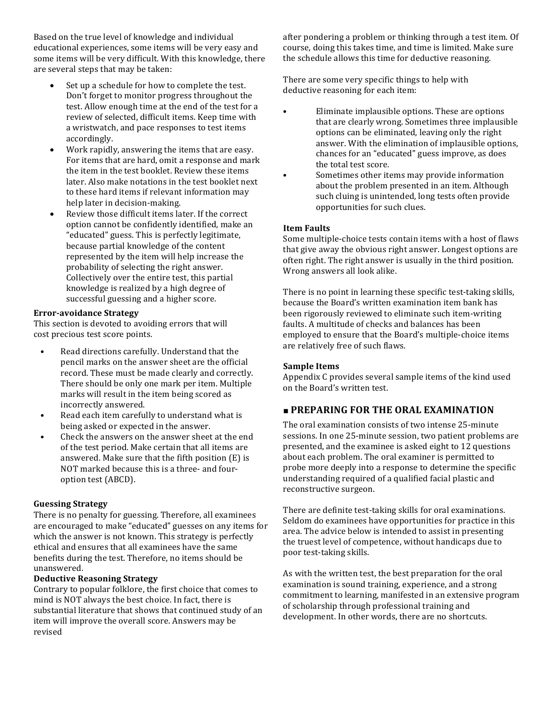Based on the true level of knowledge and individual educational experiences, some items will be very easy and some items will be very difficult. With this knowledge, there are several steps that may be taken:

- Set up a schedule for how to complete the test. Don't forget to monitor progress throughout the test. Allow enough time at the end of the test for a review of selected, difficult items. Keep time with a wristwatch, and pace responses to test items accordingly.
- Work rapidly, answering the items that are easy. For items that are hard, omit a response and mark the item in the test booklet. Review these items later. Also make notations in the test booklet next to these hard items if relevant information may help later in decision-making.
- Review those difficult items later. If the correct option cannot be confidently identified, make an "educated" guess. This is perfectly legitimate, because partial knowledge of the content represented by the item will help increase the probability of selecting the right answer. Collectively over the entire test, this partial knowledge is realized by a high degree of successful guessing and a higher score.

#### **Error-avoidance Strategy**

This section is devoted to avoiding errors that will cost precious test score points.

- Read directions carefully. Understand that the pencil marks on the answer sheet are the official record. These must be made clearly and correctly. There should be only one mark per item. Multiple marks will result in the item being scored as incorrectly answered.
- Read each item carefully to understand what is being asked or expected in the answer.
- Check the answers on the answer sheet at the end of the test period. Make certain that all items are answered. Make sure that the fifth position  $(E)$  is NOT marked because this is a three- and fouroption test (ABCD).

#### **Guessing Strategy**

There is no penalty for guessing. Therefore, all examinees are encouraged to make "educated" guesses on any items for which the answer is not known. This strategy is perfectly ethical and ensures that all examinees have the same benefits during the test. Therefore, no items should be unanswered. 

#### **Deductive Reasoning Strategy**

Contrary to popular folklore, the first choice that comes to mind is NOT always the best choice. In fact, there is substantial literature that shows that continued study of an item will improve the overall score. Answers may be revised 

after pondering a problem or thinking through a test item. Of course, doing this takes time, and time is limited. Make sure the schedule allows this time for deductive reasoning.

There are some very specific things to help with deductive reasoning for each item:

- Eliminate implausible options. These are options that are clearly wrong. Sometimes three implausible options can be eliminated, leaving only the right answer. With the elimination of implausible options, chances for an "educated" guess improve, as does the total test score.
- Sometimes other items may provide information about the problem presented in an item. Although such cluing is unintended, long tests often provide opportunities for such clues.

#### **Item Faults**

Some multiple-choice tests contain items with a host of flaws that give away the obvious right answer. Longest options are often right. The right answer is usually in the third position. Wrong answers all look alike.

There is no point in learning these specific test-taking skills, because the Board's written examination item bank has been rigorously reviewed to eliminate such item-writing faults. A multitude of checks and balances has been employed to ensure that the Board's multiple-choice items are relatively free of such flaws.

#### **Sample Items**

Appendix C provides several sample items of the kind used on the Board's written test.

### **<u>■ PREPARING FOR THE ORAL EXAMINATION</u>**

The oral examination consists of two intense 25-minute sessions. In one 25-minute session, two patient problems are presented, and the examinee is asked eight to 12 questions about each problem. The oral examiner is permitted to probe more deeply into a response to determine the specific understanding required of a qualified facial plastic and reconstructive surgeon.

There are definite test-taking skills for oral examinations. Seldom do examinees have opportunities for practice in this area. The advice below is intended to assist in presenting the truest level of competence, without handicaps due to poor test-taking skills.

As with the written test, the best preparation for the oral examination is sound training, experience, and a strong commitment to learning, manifested in an extensive program of scholarship through professional training and development. In other words, there are no shortcuts.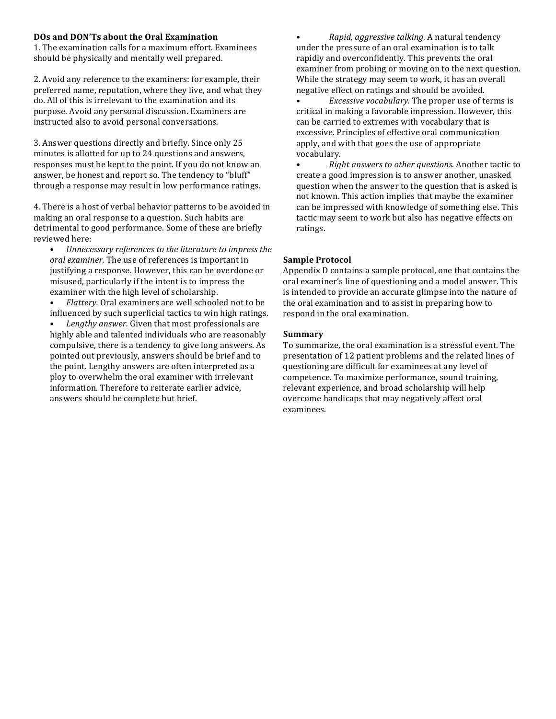#### DOs and DON'Ts about the Oral Examination

1. The examination calls for a maximum effort. Examinees should be physically and mentally well prepared.

2. Avoid any reference to the examiners: for example, their preferred name, reputation, where they live, and what they do. All of this is irrelevant to the examination and its purpose. Avoid any personal discussion. Examiners are instructed also to avoid personal conversations.

3. Answer questions directly and briefly. Since only 25 minutes is allotted for up to 24 questions and answers, responses must be kept to the point. If you do not know an answer, be honest and report so. The tendency to "bluff" through a response may result in low performance ratings.

4. There is a host of verbal behavior patterns to be avoided in making an oral response to a question. Such habits are detrimental to good performance. Some of these are briefly reviewed here:

- Unnecessary references to the literature to impress the *oral examiner.* The use of references is important in justifying a response. However, this can be overdone or misused, particularly if the intent is to impress the examiner with the high level of scholarship.
- Flattery. Oral examiners are well schooled not to be influenced by such superficial tactics to win high ratings.

Lengthy answer. Given that most professionals are highly able and talented individuals who are reasonably compulsive, there is a tendency to give long answers. As pointed out previously, answers should be brief and to the point. Lengthy answers are often interpreted as a ploy to overwhelm the oral examiner with irrelevant information. Therefore to reiterate earlier advice. answers should be complete but brief.

• *Rapid, aggressive talking.* A natural tendency under the pressure of an oral examination is to talk rapidly and overconfidently. This prevents the oral examiner from probing or moving on to the next question. While the strategy may seem to work, it has an overall negative effect on ratings and should be avoided.

*Excessive vocabulary.* The proper use of terms is critical in making a favorable impression. However, this can be carried to extremes with vocabulary that is excessive. Principles of effective oral communication apply, and with that goes the use of appropriate vocabulary. 

• *Right answers to other questions.* Another tactic to create a good impression is to answer another, unasked question when the answer to the question that is asked is not known. This action implies that maybe the examiner can be impressed with knowledge of something else. This tactic may seem to work but also has negative effects on ratings. 

#### **Sample Protocol**

Appendix D contains a sample protocol, one that contains the oral examiner's line of questioning and a model answer. This is intended to provide an accurate glimpse into the nature of the oral examination and to assist in preparing how to respond in the oral examination.

#### **Summary**

To summarize, the oral examination is a stressful event. The presentation of 12 patient problems and the related lines of questioning are difficult for examinees at any level of competence. To maximize performance, sound training, relevant experience, and broad scholarship will help overcome handicaps that may negatively affect oral examinees.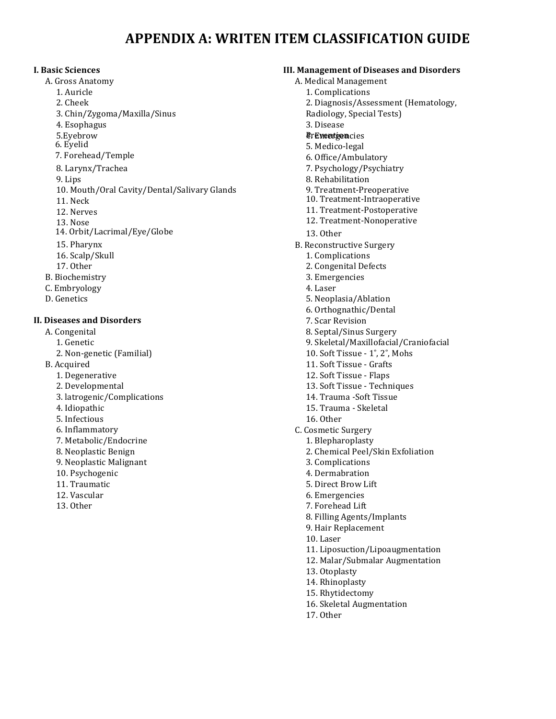# **APPENDIX A: WRITEN ITEM CLASSIFICATION GUIDE**

#### **I. Basic Sciences**

- A. Gross Anatomy
	- 1. Auricle
	- 2. Cheek
	- 3. Chin/Zygoma/Maxilla/Sinus
	- 4. Esophagus
	- 5.Eyebrow
	- 6. Eyelid
	- 7. Forehead/Temple
	- 8. Larynx/Trachea
	- 9. Lips
	- 10. Mouth/Oral Cavity/Dental/Salivary Glands
	- 11. Neck
	- 12. Nerves
	- 13. Nose
	- 14. Orbit/Lacrimal/Eye/Globe
	- 15. Pharynx
	- 16. Scalp/Skull
	- 17. Other
- B. Biochemistry
- C. Embryology
- D. Genetics

#### **II. Diseases and Disorders**

- A. Congenital
	- 1. Genetic
	- 2. Non-genetic (Familial)
- B. Acquired
	- 1. Degenerative
	- 2. Developmental
	- 3. latrogenic/Complications
	- 4. Idiopathic
	- 5. Infectious
	- 6. Inflammatory
	- 7. Metabolic/Endocrine
	- 8. Neoplastic Benign
	- 9. Neoplastic Malignant
	- 10. Psychogenic
	- 11. Traumatic
	- 12. Vascular
	- 13. Other

#### **III. Management of Diseases and Disorders**

- A. Medical Management
	- 1. Complications
	- 2. Diagnosis/Assessment (Hematology,
	- Radiology, Special Tests)
	- 3. Disease
	- **PrEvention** cies
	- 5. Medico-legal
	- 6. Office/Ambulatory
	- 7. Psychology/Psychiatry
	- 8. Rehabilitation
	- 9. Treatment-Preoperative
	- 10. Treatment-Intraoperative
	- 11. Treatment-Postoperative
	- 12. Treatment-Nonoperative
	- 13. Other
- B. Reconstructive Surgery
	- 1. Complications
	- 2. Congenital Defects
	- 3. Emergencies
	- 4. Laser
	- 5. Neoplasia/Ablation
	- 6. Orthognathic/Dental
	- 7. Scar Revision
	- 8. Septal/Sinus Surgery
	- 9. Skeletal/Maxillofacial/Craniofacial
	- 10. Soft Tissue  $1^\circ$ ,  $2^\circ$ , Mohs
	- 11. Soft Tissue Grafts
	- 12. Soft Tissue Flaps
	- 13. Soft Tissue Techniques
	- 14. Trauma -Soft Tissue
	- 15. Trauma Skeletal
	- 16. Other
- C. Cosmetic Surgery
- 1. Blepharoplasty
	- 2. Chemical Peel/Skin Exfoliation
	- 3. Complications
	- 4. Dermabration
	- 5. Direct Brow Lift
	- 6. Emergencies
	- 7. Forehead Lift
	- 8. Filling Agents/Implants
	- 9. Hair Replacement
	- 10. Laser
	- 11. Liposuction/Lipoaugmentation
	- 12. Malar/Submalar Augmentation
	- 13. Otoplasty
	- 14. Rhinoplasty
	- 15. Rhytidectomy
	- 16. Skeletal Augmentation
	- 17. Other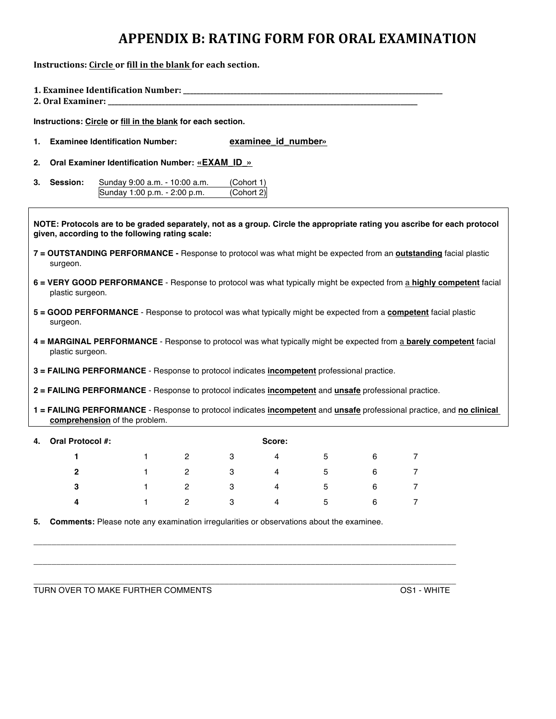# **APPENDIX B: RATING FORM FOR ORAL EXAMINATION**

**Instructions:** Circle or fill in the blank for each section.

|                                                                                                                                                                             | 2. Oral Examiner:                               |                                                                                                                      |   |                          |                     |   |   |                |  |  |  |
|-----------------------------------------------------------------------------------------------------------------------------------------------------------------------------|-------------------------------------------------|----------------------------------------------------------------------------------------------------------------------|---|--------------------------|---------------------|---|---|----------------|--|--|--|
| Instructions: Circle or fill in the blank for each section.                                                                                                                 |                                                 |                                                                                                                      |   |                          |                     |   |   |                |  |  |  |
| 1.                                                                                                                                                                          | <b>Examinee Identification Number:</b>          |                                                                                                                      |   |                          | examinee_id_number» |   |   |                |  |  |  |
| 2.                                                                                                                                                                          | Oral Examiner Identification Number: «EXAM_ID_» |                                                                                                                      |   |                          |                     |   |   |                |  |  |  |
| 3.                                                                                                                                                                          | Session:                                        | Sunday 9:00 a.m. - 10:00 a.m.<br>Sunday 1:00 p.m. - 2:00 p.m.                                                        |   | (Cohort 1)<br>(Cohort 2) |                     |   |   |                |  |  |  |
| NOTE: Protocols are to be graded separately, not as a group. Circle the appropriate rating you ascribe for each protocol<br>given, according to the following rating scale: |                                                 |                                                                                                                      |   |                          |                     |   |   |                |  |  |  |
| 7 = OUTSTANDING PERFORMANCE - Response to protocol was what might be expected from an <b>outstanding</b> facial plastic<br>surgeon.                                         |                                                 |                                                                                                                      |   |                          |                     |   |   |                |  |  |  |
| 6 = VERY GOOD PERFORMANCE - Response to protocol was what typically might be expected from a highly competent facial<br>plastic surgeon.                                    |                                                 |                                                                                                                      |   |                          |                     |   |   |                |  |  |  |
| 5 = GOOD PERFORMANCE - Response to protocol was what typically might be expected from a competent facial plastic<br>surgeon.                                                |                                                 |                                                                                                                      |   |                          |                     |   |   |                |  |  |  |
| 4 = MARGINAL PERFORMANCE - Response to protocol was what typically might be expected from a barely competent facial<br>plastic surgeon.                                     |                                                 |                                                                                                                      |   |                          |                     |   |   |                |  |  |  |
|                                                                                                                                                                             |                                                 | 3 = FAILING PERFORMANCE - Response to protocol indicates incompetent professional practice.                          |   |                          |                     |   |   |                |  |  |  |
|                                                                                                                                                                             |                                                 | 2 = FAILING PERFORMANCE - Response to protocol indicates <i>incompetent</i> and <i>unsafe</i> professional practice. |   |                          |                     |   |   |                |  |  |  |
| 1 = FAILING PERFORMANCE - Response to protocol indicates incompetent and unsafe professional practice, and no clinical<br>comprehension of the problem.                     |                                                 |                                                                                                                      |   |                          |                     |   |   |                |  |  |  |
| 4.                                                                                                                                                                          | <b>Oral Protocol #:</b>                         |                                                                                                                      |   |                          | Score:              |   |   |                |  |  |  |
|                                                                                                                                                                             | 1                                               | $\mathbf{1}$                                                                                                         | 2 | 3                        | 4                   | 5 | 6 | $\overline{7}$ |  |  |  |
|                                                                                                                                                                             | $\mathbf{2}$                                    | $\mathbf{1}$                                                                                                         | 2 | 3                        | 4                   | 5 | 6 | 7              |  |  |  |
|                                                                                                                                                                             | 3                                               | 1                                                                                                                    | 2 | 3                        | 4                   | 5 | 6 | 7              |  |  |  |

**5. Comments:** Please note any examination irregularities or observations about the examinee.

**4** 1 2 3 4 5 6 7

\_\_\_\_\_\_\_\_\_\_\_\_\_\_\_\_\_\_\_\_\_\_\_\_\_\_\_\_\_\_\_\_\_\_\_\_\_\_\_\_\_\_\_\_\_\_\_\_\_\_\_\_\_\_\_\_\_\_\_\_\_\_\_\_\_\_\_\_\_\_\_\_\_\_\_\_\_\_\_\_\_\_\_\_\_\_\_\_\_\_\_\_\_

\_\_\_\_\_\_\_\_\_\_\_\_\_\_\_\_\_\_\_\_\_\_\_\_\_\_\_\_\_\_\_\_\_\_\_\_\_\_\_\_\_\_\_\_\_\_\_\_\_\_\_\_\_\_\_\_\_\_\_\_\_\_\_\_\_\_\_\_\_\_\_\_\_\_\_\_\_\_\_\_\_\_\_\_\_\_\_\_\_\_\_\_\_

TURN OVER TO MAKE FURTHER COMMENTS **COMMENTS** OS1 - WHITE

\_\_\_\_\_\_\_\_\_\_\_\_\_\_\_\_\_\_\_\_\_\_\_\_\_\_\_\_\_\_\_\_\_\_\_\_\_\_\_\_\_\_\_\_\_\_\_\_\_\_\_\_\_\_\_\_\_\_\_\_\_\_\_\_\_\_\_\_\_\_\_\_\_\_\_\_\_\_\_\_\_\_\_\_\_\_\_\_\_\_\_\_\_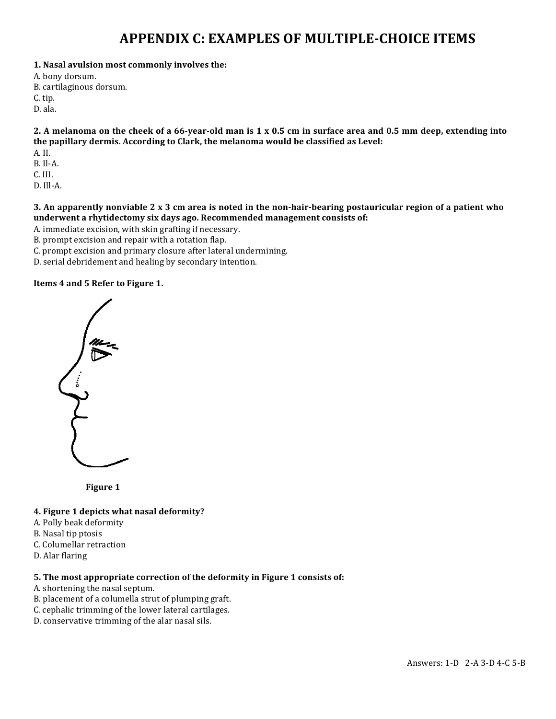# **APPENDIX C: EXAMPLES OF MULTIPLE-CHOICE ITEMS**

- 1. Nasal avulsion most commonly involves the:
- A. bony dorsum.
- B. cartilaginous dorsum.
- C. tip.
- D. ala.

2. A melanoma on the cheek of a 66-year-old man is 1 x 0.5 cm in surface area and 0.5 mm deep, extending into the papillary dermis. According to Clark, the melanoma would be classified as Level:

- A. II.
- B. Il-A.
- C. III.
- D. Ill-A.

**3.** An apparently nonviable 2 x 3 cm area is noted in the non-hair-bearing postauricular region of a patient who underwent a rhytidectomy six days ago. Recommended management consists of:

A. immediate excision, with skin grafting if necessary.

B. prompt excision and repair with a rotation flap.

- C. prompt excision and primary closure after lateral undermining.
- D. serial debridement and healing by secondary intention.

#### **Items 4 and 5 Refer to Figure 1.**



**Figure 1** 

#### **4. Figure 1 depicts what nasal deformity?**

- A. Polly beak deformity
- B. Nasal tip ptosis
- C. Columellar retraction
- D. Alar flaring

### **5.** The most appropriate correction of the deformity in Figure 1 consists of:

- A. shortening the nasal septum.
- B. placement of a columella strut of plumping graft.
- C. cephalic trimming of the lower lateral cartilages.
- D. conservative trimming of the alar nasal sils.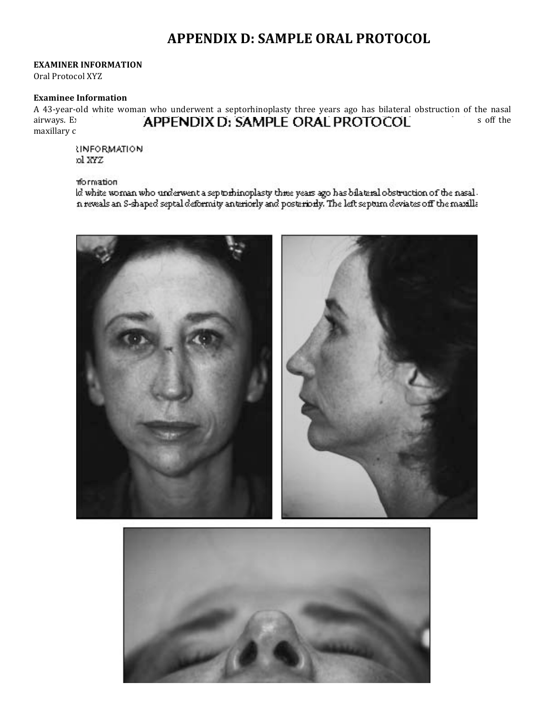# **APPENDIX D: SAMPLE ORAL PROTOCOL**

#### **EXAMINER INFORMATION**

Oral Protocol XYZ

#### **Examinee Information**

A 43-year-old white woman who underwent a septorhinoplasty three years ago has bilateral obstruction of the nasal airways. E: **APPENDIX D: SAMPLE ORAL PROTOCOL** soff the maxillary c

**INFORMATION** ol XYZ

#### formation

ld white woman who underwent a septorhinoplasty three years ago has bilateral obstruction of the nasal .<br>In reveals an S-shaped septal deformity anteriorly and posteriorly. The left septum deviates off the maxilla